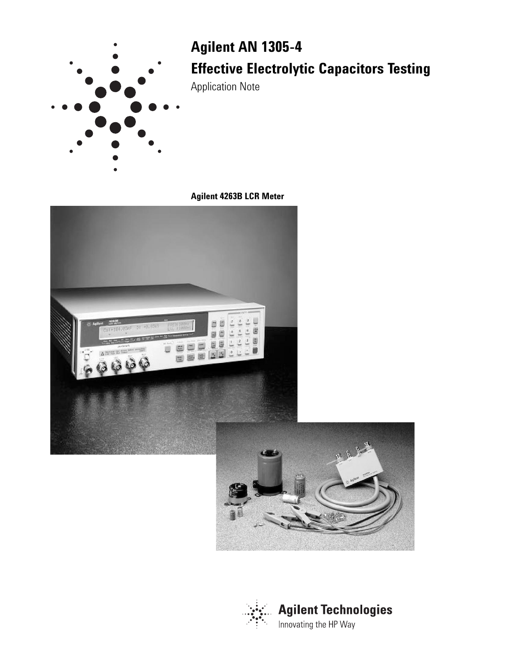

# **Agilent AN 1305-4 Effective Electrolytic Capacitors Testing**

Application Note

**Agilent 4263B LCR Meter**



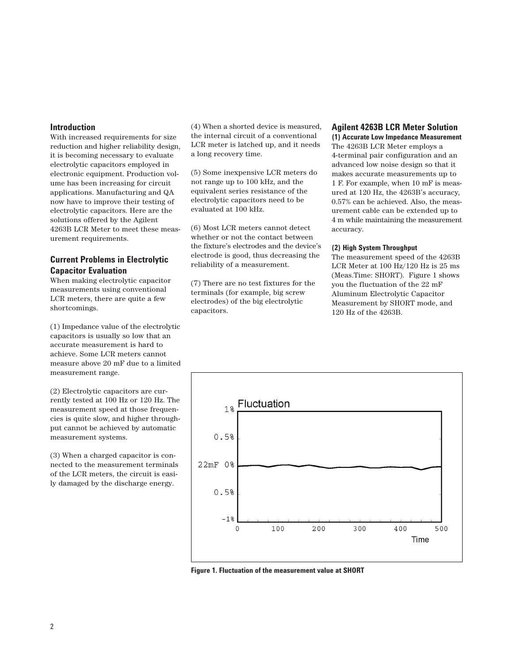### **Introduction**

With increased requirements for size reduction and higher reliability design, it is becoming necessary to evaluate electrolytic capacitors employed in electronic equipment. Production volume has been increasing for circuit applications. Manufacturing and QA now have to improve their testing of electrolytic capacitors. Here are the solutions offered by the Agilent 4263B LCR Meter to meet these measurement requirements.

## **Current Problems in Electrolytic Capacitor Evaluation**

When making electrolytic capacitor measurements using conventional LCR meters, there are quite a few shortcomings.

(1) Impedance value of the electrolytic capacitors is usually so low that an accurate measurement is hard to achieve. Some LCR meters cannot measure above 20 mF due to a limited measurement range.

(2) Electrolytic capacitors are currently tested at 100 Hz or 120 Hz. The measurement speed at those frequencies is quite slow, and higher throughput cannot be achieved by automatic measurement systems.

(3) When a charged capacitor is connected to the measurement terminals of the LCR meters, the circuit is easily damaged by the discharge energy.

(4) When a shorted device is measured, the internal circuit of a conventional LCR meter is latched up, and it needs a long recovery time.

(5) Some inexpensive LCR meters do not range up to 100 kHz, and the equivalent series resistance of the electrolytic capacitors need to be evaluated at 100 kHz.

(6) Most LCR meters cannot detect whether or not the contact between the fixture's electrodes and the device's electrode is good, thus decreasing the reliability of a measurement.

(7) There are no test fixtures for the terminals (for example, big screw electrodes) of the big electrolytic capacitors.

### **Agilent 4263B LCR Meter Solution (1) Accurate Low Impedance Measurement**

The 4263B LCR Meter employs a 4-terminal pair configuration and an advanced low noise design so that it makes accurate measurements up to 1 F. For example, when 10 mF is measured at 120 Hz, the 4263B's accuracy, 0.57% can be achieved. Also, the measurement cable can be extended up to 4 m while maintaining the measurement accuracy.

#### **(2) High System Throughput**

The measurement speed of the 4263B LCR Meter at 100 Hz/120 Hz is 25 ms (Meas.Time: SHORT). Figure 1 shows you the fluctuation of the 22 mF Aluminum Electrolytic Capacitor Measurement by SHORT mode, and 120 Hz of the 4263B.



**Figure 1. Fluctuation of the measurement value at SHORT**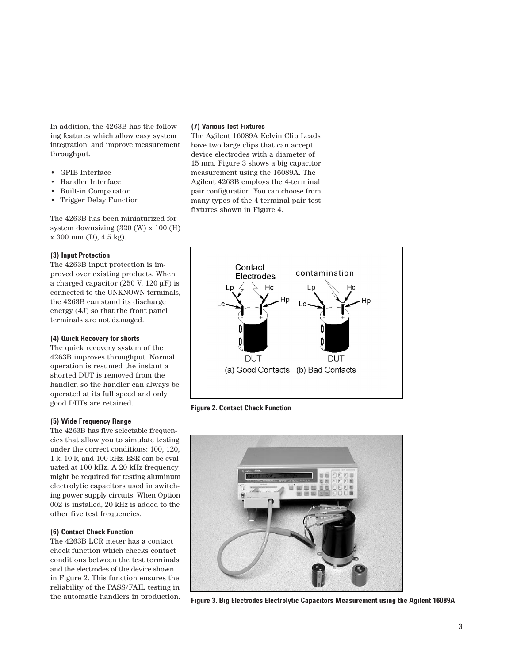In addition, the 4263B has the following features which allow easy system integration, and improve measurement throughput.

- GPIB Interface
- Handler Interface
- Built-in Comparator
- Trigger Delay Function

The 4263B has been miniaturized for system downsizing (320 (W) x 100 (H) x 300 mm (D), 4.5 kg).

#### **(3) Input Protection**

The 4263B input protection is improved over existing products. When a charged capacitor (250 V, 120  $\mu$ F) is connected to the UNKNOWN terminals, the 4263B can stand its discharge energy (4J) so that the front panel terminals are not damaged.

#### **(4) Quick Recovery for shorts**

The quick recovery system of the 4263B improves throughput. Normal operation is resumed the instant a shorted DUT is removed from the handler, so the handler can always be operated at its full speed and only good DUTs are retained.

#### **(5) Wide Frequency Range**

The 4263B has five selectable frequencies that allow you to simulate testing under the correct conditions: 100, 120, 1 k, 10 k, and 100 kHz. ESR can be evaluated at 100 kHz. A 20 kHz frequency might be required for testing aluminum electrolytic capacitors used in switching power supply circuits. When Option 002 is installed, 20 kHz is added to the other five test frequencies.

#### **(6) Contact Check Function**

The 4263B LCR meter has a contact check function which checks contact conditions between the test terminals and the electrodes of the device shown in Figure 2. This function ensures the reliability of the PASS/FAIL testing in the automatic handlers in production.

#### **(7) Various Test Fixtures**

The Agilent 16089A Kelvin Clip Leads have two large clips that can accept device electrodes with a diameter of 15 mm. Figure 3 shows a big capacitor measurement using the 16089A. The Agilent 4263B employs the 4-terminal pair configuration. You can choose from many types of the 4-terminal pair test fixtures shown in Figure 4.



**Figure 2. Contact Check Function**



**Figure 3. Big Electrodes Electrolytic Capacitors Measurement using the Agilent 16089A**